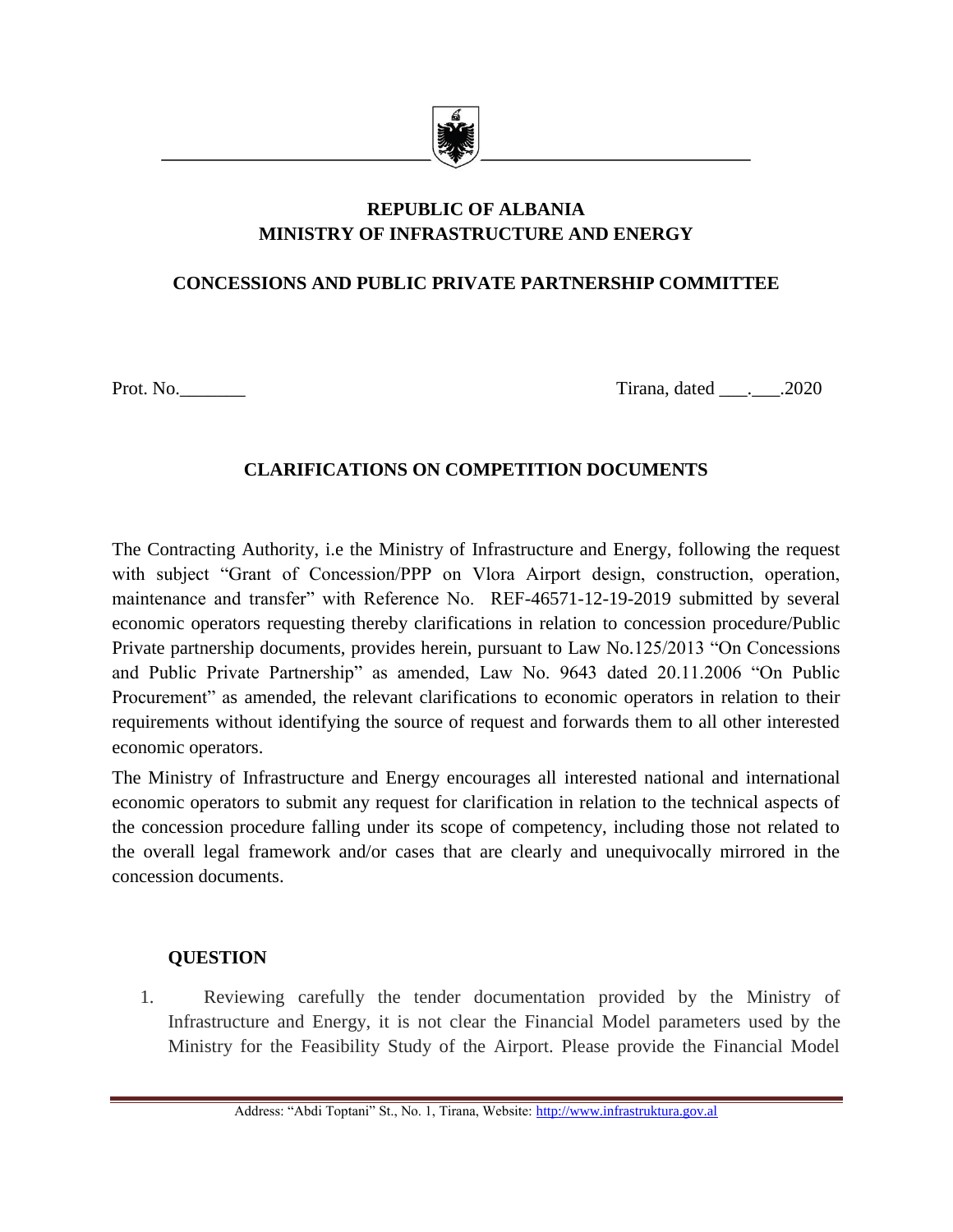

# **REPUBLIC OF ALBANIA MINISTRY OF INFRASTRUCTURE AND ENERGY**

# **CONCESSIONS AND PUBLIC PRIVATE PARTNERSHIP COMMITTEE**

Prot. No. 2020

## **CLARIFICATIONS ON COMPETITION DOCUMENTS**

The Contracting Authority, i.e the Ministry of Infrastructure and Energy, following the request with subject "Grant of Concession/PPP on Vlora Airport design, construction, operation, maintenance and transfer" with Reference No. REF-46571-12-19-2019 submitted by several economic operators requesting thereby clarifications in relation to concession procedure/Public Private partnership documents, provides herein, pursuant to Law No.125/2013 "On Concessions and Public Private Partnership" as amended, Law No. 9643 dated 20.11.2006 "On Public Procurement" as amended, the relevant clarifications to economic operators in relation to their requirements without identifying the source of request and forwards them to all other interested economic operators.

The Ministry of Infrastructure and Energy encourages all interested national and international economic operators to submit any request for clarification in relation to the technical aspects of the concession procedure falling under its scope of competency, including those not related to the overall legal framework and/or cases that are clearly and unequivocally mirrored in the concession documents.

### **QUESTION**

1. Reviewing carefully the tender documentation provided by the Ministry of Infrastructure and Energy, it is not clear the Financial Model parameters used by the Ministry for the Feasibility Study of the Airport. Please provide the Financial Model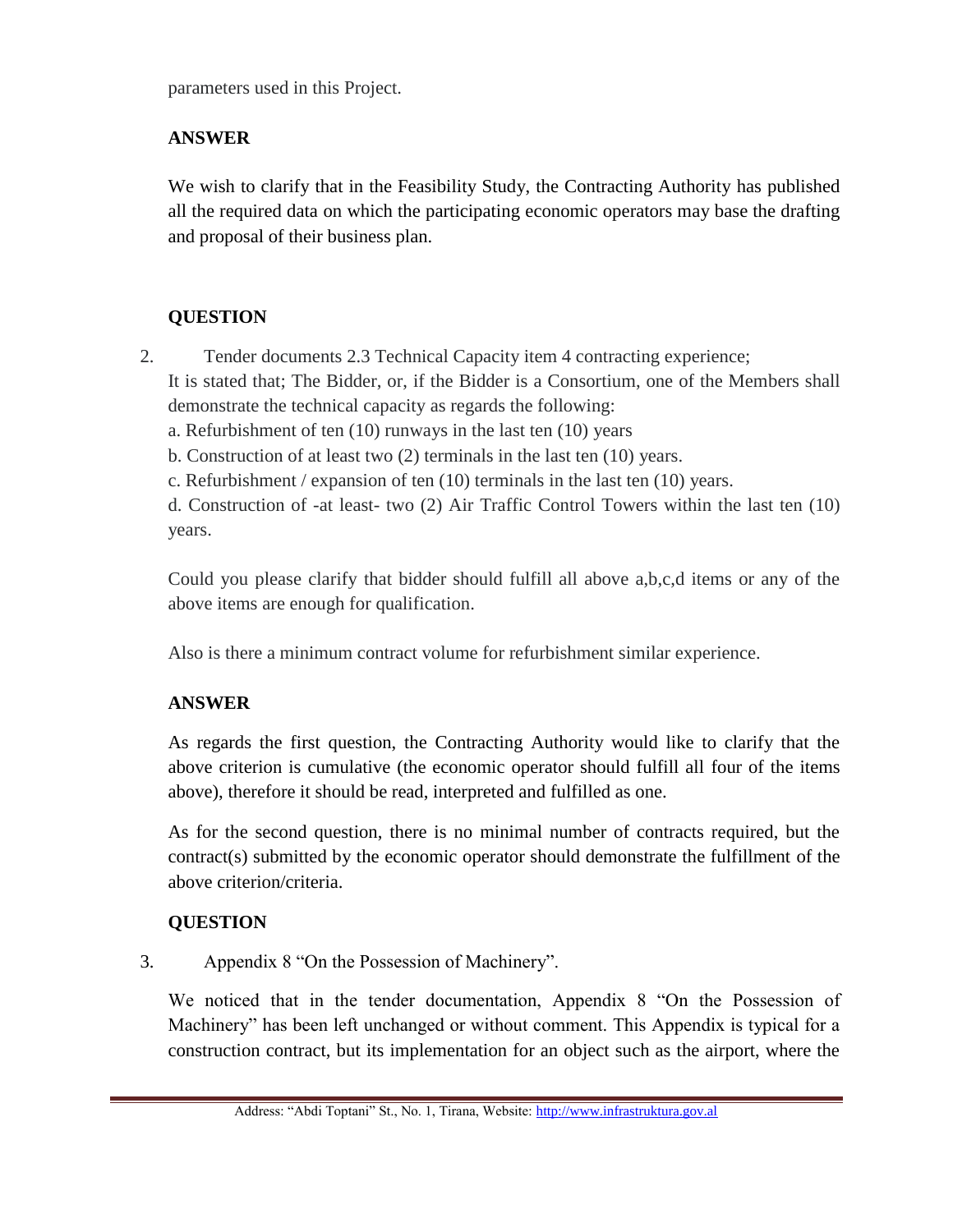parameters used in this Project.

### **ANSWER**

We wish to clarify that in the Feasibility Study, the Contracting Authority has published all the required data on which the participating economic operators may base the drafting and proposal of their business plan.

### **QUESTION**

2. Tender documents 2.3 Technical Capacity item 4 contracting experience;

It is stated that; The Bidder, or, if the Bidder is a Consortium, one of the Members shall demonstrate the technical capacity as regards the following:

a. Refurbishment of ten (10) runways in the last ten (10) years

b. Construction of at least two (2) terminals in the last ten (10) years.

c. Refurbishment / expansion of ten (10) terminals in the last ten (10) years.

d. Construction of -at least- two (2) Air Traffic Control Towers within the last ten (10) years.

Could you please clarify that bidder should fulfill all above a,b,c,d items or any of the above items are enough for qualification.

Also is there a minimum contract volume for refurbishment similar experience.

### **ANSWER**

As regards the first question, the Contracting Authority would like to clarify that the above criterion is cumulative (the economic operator should fulfill all four of the items above), therefore it should be read, interpreted and fulfilled as one.

As for the second question, there is no minimal number of contracts required, but the contract(s) submitted by the economic operator should demonstrate the fulfillment of the above criterion/criteria.

### **QUESTION**

3. Appendix 8 "On the Possession of Machinery".

We noticed that in the tender documentation, Appendix 8 "On the Possession of Machinery" has been left unchanged or without comment. This Appendix is typical for a construction contract, but its implementation for an object such as the airport, where the

Address: "Abdi Toptani" St., No. 1, Tirana, Website[: http://www.infrastruktura.gov.al](http://www.infrastruktura.gov.al/)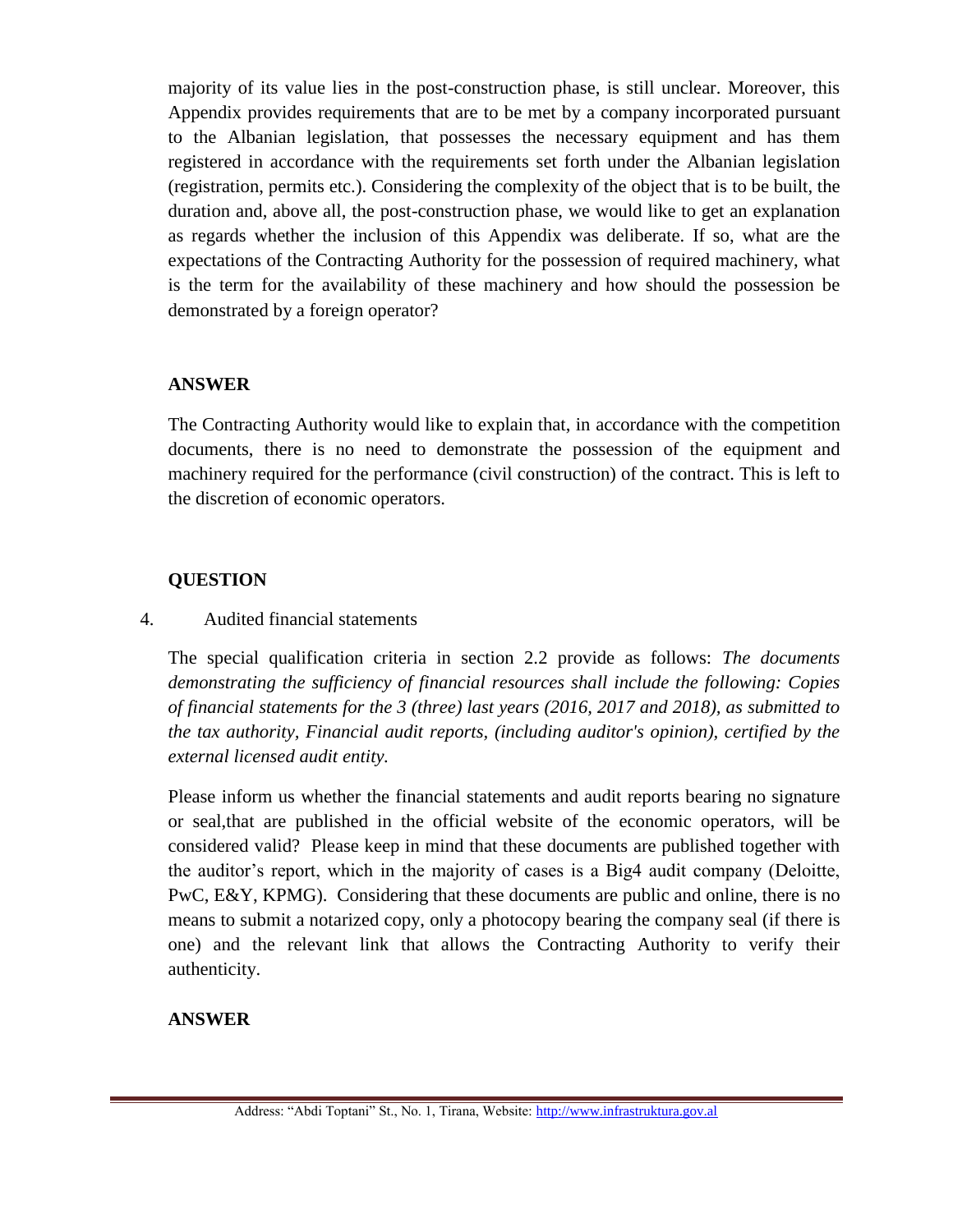majority of its value lies in the post-construction phase, is still unclear. Moreover, this Appendix provides requirements that are to be met by a company incorporated pursuant to the Albanian legislation, that possesses the necessary equipment and has them registered in accordance with the requirements set forth under the Albanian legislation (registration, permits etc.). Considering the complexity of the object that is to be built, the duration and, above all, the post-construction phase, we would like to get an explanation as regards whether the inclusion of this Appendix was deliberate. If so, what are the expectations of the Contracting Authority for the possession of required machinery, what is the term for the availability of these machinery and how should the possession be demonstrated by a foreign operator?

### **ANSWER**

The Contracting Authority would like to explain that, in accordance with the competition documents, there is no need to demonstrate the possession of the equipment and machinery required for the performance (civil construction) of the contract. This is left to the discretion of economic operators.

#### **QUESTION**

#### 4. Audited financial statements

The special qualification criteria in section 2.2 provide as follows: *The documents demonstrating the sufficiency of financial resources shall include the following: Copies of financial statements for the 3 (three) last years (2016, 2017 and 2018), as submitted to the tax authority, Financial audit reports, (including auditor's opinion), certified by the external licensed audit entity.*

Please inform us whether the financial statements and audit reports bearing no signature or seal,that are published in the official website of the economic operators, will be considered valid? Please keep in mind that these documents are published together with the auditor's report, which in the majority of cases is a Big4 audit company (Deloitte,  $PWC, E&Y, KPMG)$ . Considering that these documents are public and online, there is no means to submit a notarized copy, only a photocopy bearing the company seal (if there is one) and the relevant link that allows the Contracting Authority to verify their authenticity.

### **ANSWER**